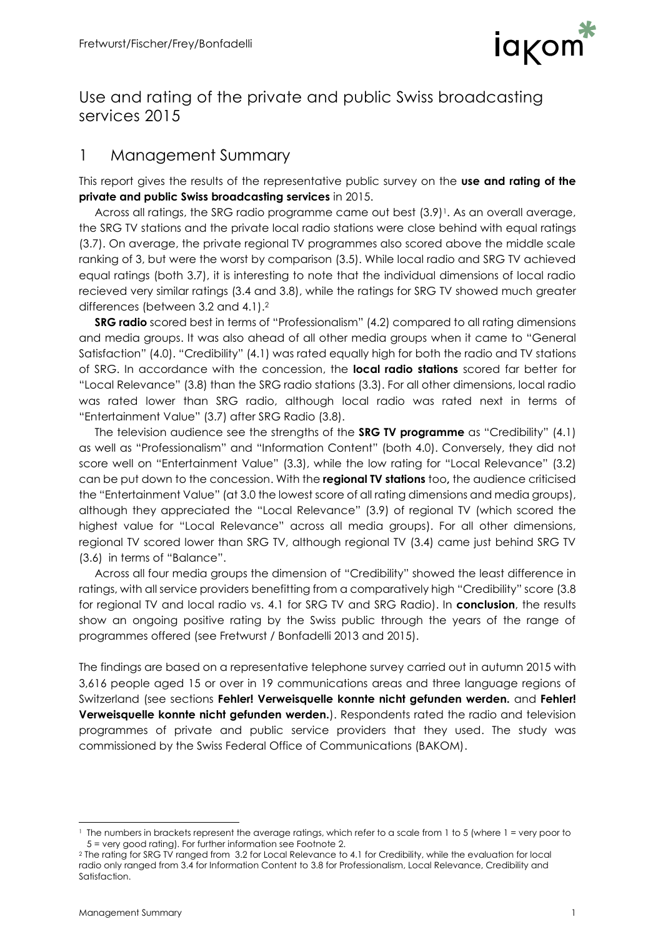

## Use and rating of the private and public Swiss broadcasting services 2015

## 1 Management Summary

This report gives the results of the representative public survey on the **use and rating of the private and public Swiss broadcasting services** in 2015.

Across all ratings, the SRG radio programme came out best  $(3.9)$ <sup>1</sup>. As an overall average, the SRG TV stations and the private local radio stations were close behind with equal ratings (3.7). On average, the private regional TV programmes also scored above the middle scale ranking of 3, but were the worst by comparison (3.5). While local radio and SRG TV achieved equal ratings (both 3.7), it is interesting to note that the individual dimensions of local radio recieved very similar ratings (3.4 and 3.8), while the ratings for SRG TV showed much greater differences (between 3.2 and 4.1).<sup>2</sup>

**SRG radio** scored best in terms of "Professionalism" (4.2) compared to all rating dimensions and media groups. It was also ahead of all other media groups when it came to "General Satisfaction" (4.0). "Credibility" (4.1) was rated equally high for both the radio and TV stations of SRG. In accordance with the concession, the **local radio stations** scored far better for "Local Relevance" (3.8) than the SRG radio stations (3.3). For all other dimensions, local radio was rated lower than SRG radio, although local radio was rated next in terms of "Entertainment Value" (3.7) after SRG Radio (3.8).

The television audience see the strengths of the **SRG TV programme** as "Credibility" (4.1) as well as "Professionalism" and "Information Content" (both 4.0). Conversely, they did not score well on "Entertainment Value" (3.3), while the low rating for "Local Relevance" (3.2) can be put down to the concession. With the **regional TV stations** too**,** the audience criticised the "Entertainment Value" (at 3.0 the lowest score of all rating dimensions and media groups), although they appreciated the "Local Relevance" (3.9) of regional TV (which scored the highest value for "Local Relevance" across all media groups). For all other dimensions, regional TV scored lower than SRG TV, although regional TV (3.4) came just behind SRG TV (3.6) in terms of "Balance".

Across all four media groups the dimension of "Credibility" showed the least difference in ratings, with all service providers benefitting from a comparatively high "Credibility" score (3.8 for regional TV and local radio vs. 4.1 for SRG TV and SRG Radio). In **conclusion**, the results show an ongoing positive rating by the Swiss public through the years of the range of programmes offered (see Fretwurst / Bonfadelli 2013 and 2015).

The findings are based on a representative telephone survey carried out in autumn 2015 with 3,616 people aged 15 or over in 19 communications areas and three language regions of Switzerland (see sections **Fehler! Verweisquelle konnte nicht gefunden werden.** and **Fehler! Verweisquelle konnte nicht gefunden werden.**). Respondents rated the radio and television programmes of private and public service providers that they used. The study was commissioned by the Swiss Federal Office of Communications (BAKOM).

l <sup>1</sup> The numbers in brackets represent the average ratings, which refer to a scale from 1 to 5 (where 1 = very poor to 5 = very good rating). For further information see Footnote 2.

<sup>2</sup> The rating for SRG TV ranged from 3.2 for Local Relevance to 4.1 for Credibility, while the evaluation for local radio only ranged from 3.4 for Information Content to 3.8 for Professionalism, Local Relevance, Credibility and Satisfaction.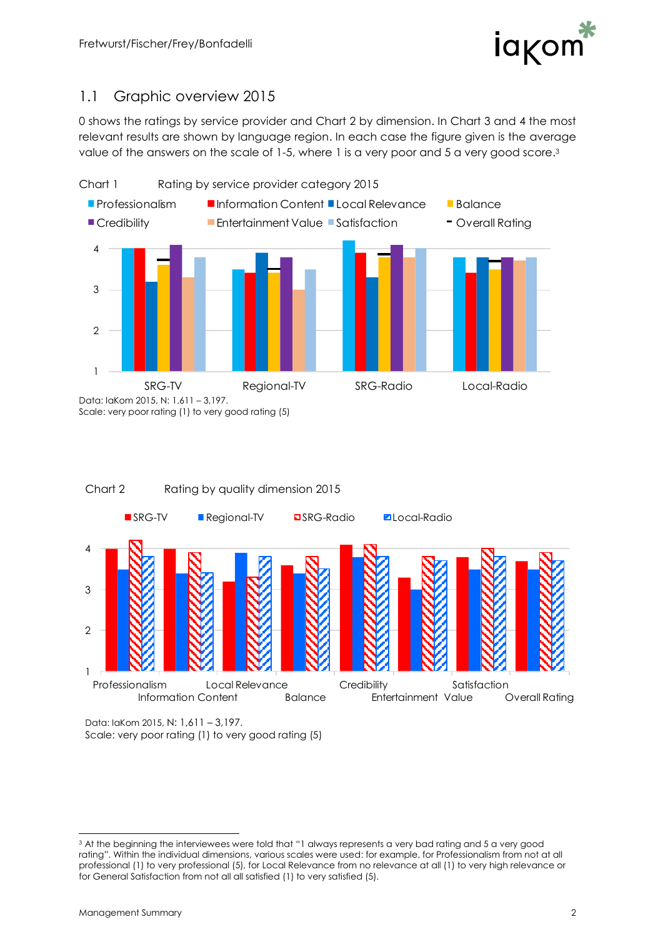

## 1.1 Graphic overview 2015

[0](#page-1-0) shows the ratings by service provider and Chart 2 by dimension. In Chart 3 and 4 the most relevant results are shown by language region. In each case the figure given is the average value of the answers on the scale of 1-5, where 1 is a very poor and 5 a very good score.<sup>3</sup>

<span id="page-1-0"></span>



Data: IaKom 2015, N: 1,611 – 3,197. Scale: very poor rating (1) to very good rating (5)

l <sup>3</sup> At the beginning the interviewees were told that "1 always represents a very bad rating and 5 a very good rating". Within the individual dimensions, various scales were used: for example, for Professionalism from not at all professional (1) to very professional (5), for Local Relevance from no relevance at all (1) to very high relevance or for General Satisfaction from not all all satisfied (1) to very satisfied (5).